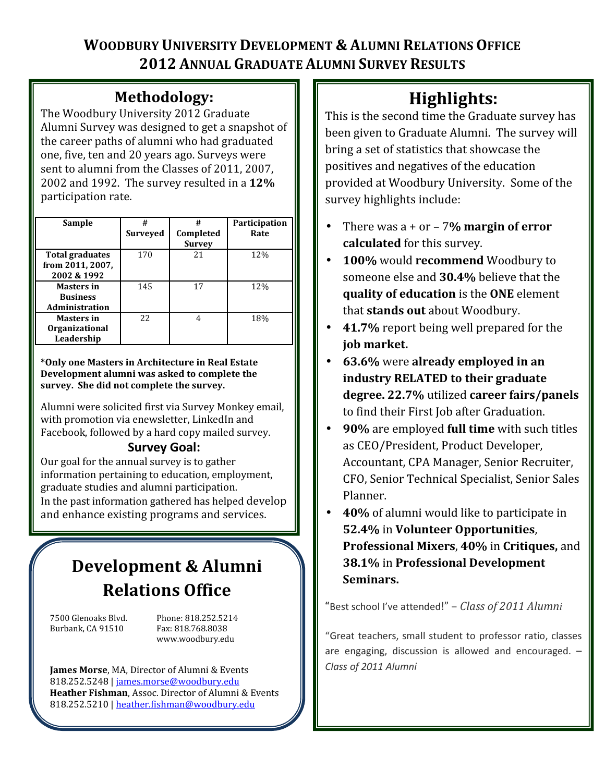## WOODBURY UNIVERSITY DEVELOPMENT & ALUMNI RELATIONS OFFICE 2012 ANNUAL GRADUATE ALUMNI SURVEY RESULTS

# Methodology:

The Woodbury University 2012 Graduate Alumni Survey was designed to get a snapshot of the career paths of alumni who had graduated one, five, ten and 20 years ago. Surveys were sent to alumni from the Classes of 2011, 2007, 2002 and 1992. The survey resulted in a 12% participation rate.

| Sample                                                   | #<br>Surveyed | #<br>Completed<br><b>Survey</b> | Participation<br>Rate |
|----------------------------------------------------------|---------------|---------------------------------|-----------------------|
| Total graduates<br>from 2011, 2007,<br>2002 & 1992       | 170           | 21                              | 12%                   |
| <b>Masters in</b><br><b>Business</b><br>Administration   | 145           | 17                              | 12%                   |
| <b>Masters in</b><br><b>Organizational</b><br>Leadership | 2.2.          | 4                               | 18%                   |

\*Only one Masters in Architecture in Real Estate Development alumni was asked to complete the survey. She did not complete the survey.

Alumni were solicited first via Survey Monkey email, with promotion via enewsletter, LinkedIn and Facebook, followed by a hard copy mailed survey.

## Survey Goal:

Our goal for the annual survey is to gather information pertaining to education, employment, graduate studies and alumni participation. In the past information gathered has helped develop and enhance existing programs and services.

# Development & Alumni Relations Office

Burbank, CA 91510 Fax: 818.768.8038

7500 Glenoaks Blvd. Phone: 818.252.5214 www.woodbury.edu

James Morse, MA, Director of Alumni & Events 818.252.5248 | james.morse@woodbury.edu Heather Fishman, Assoc. Director of Alumni & Events 818.252.5210 | heather.fishman@woodbury.edu

# Highlights:

This is the second time the Graduate survey has been given to Graduate Alumni. The survey will bring a set of statistics that showcase the positives and negatives of the education provided at Woodbury University. Some of the survey highlights include:

- There was  $a + or 7%$  margin of error calculated for this survey.
- 100% would recommend Woodbury to someone else and 30.4% believe that the quality of education is the ONE element that stands out about Woodbury.
- 41.7% report being well prepared for the job market.
- 63.6% were already employed in an industry RELATED to their graduate degree. 22.7% utilized career fairs/panels to find their First Job after Graduation.
- 90% are employed full time with such titles as CEO/President, Product Developer, Accountant, CPA Manager, Senior Recruiter, CFO, Senior Technical Specialist, Senior Sales Planner.
- 40% of alumni would like to participate in 52.4% in Volunteer Opportunities, Professional Mixers, 40% in Critiques, and 38.1% in Professional Development Seminars.

"Best school I've attended!" – Class of 2011 Alumni

"Great teachers, small student to professor ratio, classes are engaging, discussion is allowed and encouraged. – Class of 2011 Alumni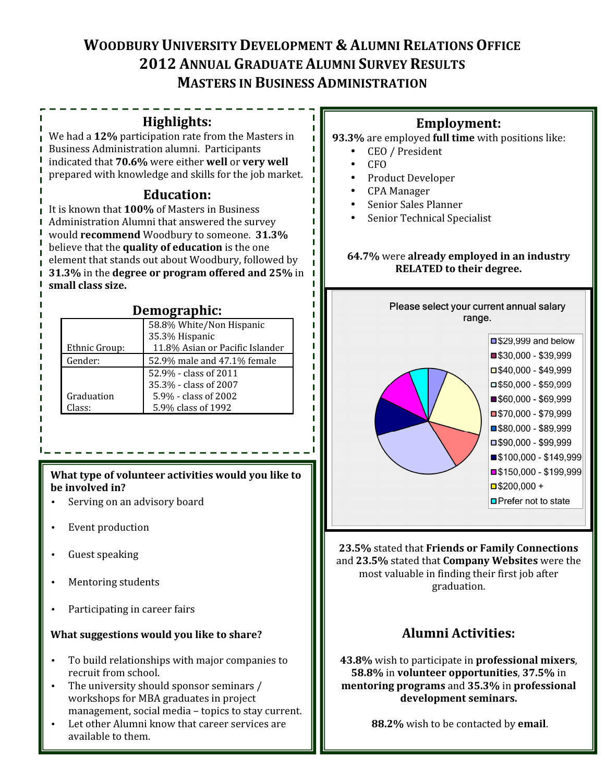## WOODBURY UNIVERSITY DEVELOPMENT & ALUMNI RELATIONS OFFICE 2012 ANNUAL GRADUATE ALUMNI SURVEY RESULTS MASTERS IN BUSINESS ADMINISTRATION

п.

П  $\blacksquare$  $\blacksquare$  $\blacksquare$  $\blacksquare$ T.

T.

 $\blacksquare$  $\blacksquare$  $\blacksquare$ 

П

п п

#### Highlights:

We had a 12% participation rate from the Masters in Business Administration alumni. Participants indicated that 70.6% were either well or very well prepared with knowledge and skills for the job market.

#### Education:

It is known that 100% of Masters in Business Administration Alumni that answered the survey would recommend Woodbury to someone. 31.3% believe that the quality of education is the one element that stands out about Woodbury, followed by 31.3% in the degree or program offered and 25% in I small class size.

#### Demographic:

|               | 58.8% White/Non Hispanic        |  |  |
|---------------|---------------------------------|--|--|
|               | 35.3% Hispanic                  |  |  |
| Ethnic Group: | 11.8% Asian or Pacific Islander |  |  |
| Gender:       | 52.9% male and 47.1% female     |  |  |
|               | 52.9% - class of 2011           |  |  |
|               | 35.3% - class of 2007           |  |  |
| Graduation    | 5.9% - class of 2002            |  |  |
| :lass:        | 5.9% class of 1992              |  |  |

#### What type of volunteer activities would you like to be involved in?

- Serving on an advisory board
- Event production
- Guest speaking
- Mentoring students
- Participating in career fairs

#### What suggestions would you like to share?

- To build relationships with major companies to recruit from school.
- The university should sponsor seminars / workshops for MBA graduates in project management, social media – topics to stay current.
- Let other Alumni know that career services are available to them.

### Employment:



- CEO / President
- CFO
- Product Developer
- CPA Manager
- Senior Sales Planner
- Senior Technical Specialist

#### 64.7% were already employed in an industry RELATED to their degree.



23.5% stated that Friends or Family Connections and 23.5% stated that Company Websites were the most valuable in finding their first job after graduation.

### Alumni Activities:

43.8% wish to participate in professional mixers, 58.8% in volunteer opportunities, 37.5% in mentoring programs and 35.3% in professional development seminars.

88.2% wish to be contacted by email.